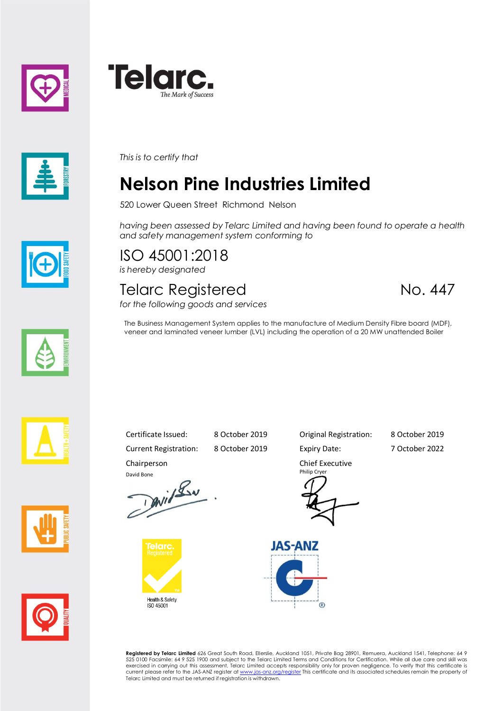





*This is to certify that*

## **Nelson Pine Industries Limited**

520 Lower Queen Street Richmond Nelson

*having been assessed by Telarc Limited and having been found to operate a health and safety management system conforming to*

veneer and laminated veneer lumber (LVL) including the operation of a 20 MW unattended Boiler

ISO 45001:2018 *is hereby designated*

## Telarc Registered No. 447 *for the following goods and services*

The Business Management System applies to the manufacture of Medium Density Fibre board (MDF),











Current Registration: 8 October 2019 Expiry Date: 7 October 2022 Chairperson

David Bone<br>David Lav

Health & Safety<br>ISO 45001

Certificate Issued: 8 October 2019 Original Registration: 8 October 2019

Chief Executive Philip Cryer



**Registered by Telarc Limited** 626 Great South Road, Ellerslie, Auckland 1051, Private Bag 28901, Remuera, Auckland 1541, Telephone: 64 9<br>525 0100 Facsimile: 64 9 525 1900 and subject to the Telarc Limited Terms and Condit